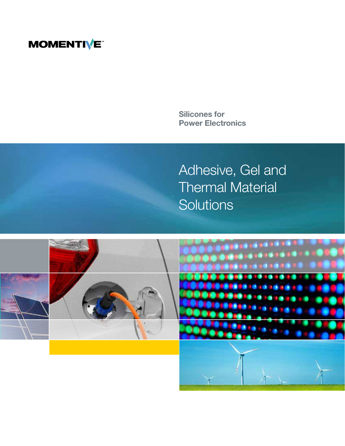## **MOMENTIVE**

Silicones for Power Electronics

Adhesive, Gel and Thermal Material **Solutions** 

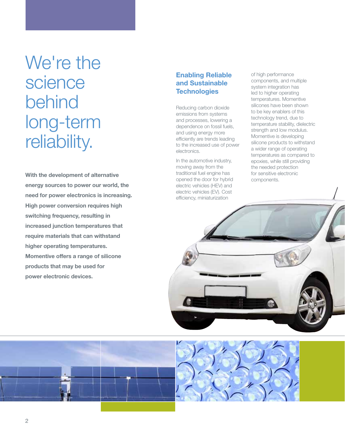# We're the science behind long-term reliability.

With the development of alternative energy sources to power our world, the need for power electronics is increasing. High power conversion requires high switching frequency, resulting in increased junction temperatures that require materials that can withstand higher operating temperatures. Momentive offers a range of silicone products that may be used for power electronic devices.

#### Enabling Reliable and Sustainable **Technologies**

Reducing carbon dioxide emissions from systems and processes, lowering a dependence on fossil fuels, and using energy more efficiently are trends leading to the increased use of power electronics.

In the automotive industry, moving away from the traditional fuel engine has opened the door for hybrid electric vehicles (HEV) and electric vehicles (EV). Cost efficiency, miniaturization

of high performance components, and multiple system integration has led to higher operating temperatures. Momentive silicones have been shown to be key enablers of this technology trend, due to temperature stability, dielectric strength and low modulus. Momentive is developing silicone products to withstand a wider range of operating temperatures as compared to epoxies, while still providing the needed protection for sensitive electronic components.





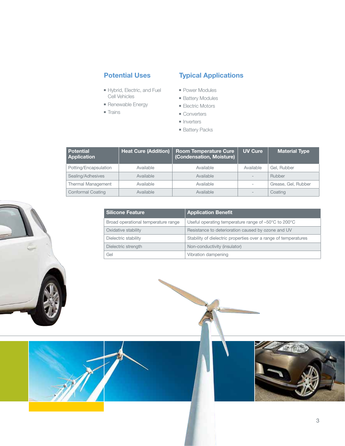## Potential Uses

- Hybrid, Electric, and Fuel Cell Vehicles
- Renewable Energy
- Trains

## Typical Applications

- Power Modules
- Battery Modules
- Electric Motors
- Converters
- Inverters
- Battery Packs

| <b>Potential</b><br><b>Application</b> | <b>Heat Cure (Addition)</b> | <b>Room Temperature Cure</b><br>(Condensation, Moisture) | <b>UV Cure</b> | <b>Material Type</b> |
|----------------------------------------|-----------------------------|----------------------------------------------------------|----------------|----------------------|
| Potting/Encapsulation                  | Available                   | Available                                                | Available      | Gel. Rubber          |
| Sealing/Adhesives                      | Available                   | Available                                                |                | Rubber               |
| <b>Thermal Management</b>              | Available                   | Available                                                |                | Grease, Gel, Rubber  |
| <b>Conformal Coating</b>               | Available                   | Available                                                |                | Coating              |

| l Silicone Feature                  | <b>Application Benefit</b>                                      |
|-------------------------------------|-----------------------------------------------------------------|
| Broad operational temperature range | Useful operating temperature range of -50°C to 200°C            |
| Oxidative stability                 | Resistance to deterioration caused by ozone and UV              |
| Dielectric stability                | Stability of dielectric properties over a range of temperatures |
| Dielectric strength                 | Non-conductivity (insulator)                                    |
| Gel                                 | Vibration dampening                                             |

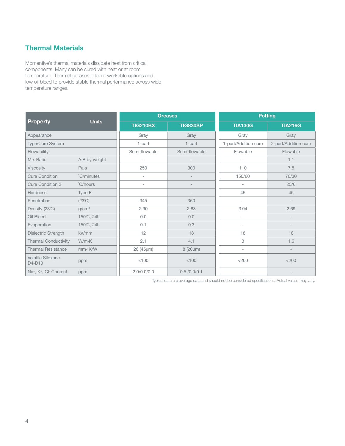## Thermal Materials

Momentive's thermal materials dissipate heat from critical components. Many can be cured with heat or at room temperature. Thermal greases offer re-workable options and low oil bleed to provide stable thermal performance across wide temperature ranges.

|                             | <b>Units</b>           |                          | <b>Greases</b>  | <b>Potting</b>           |                          |  |
|-----------------------------|------------------------|--------------------------|-----------------|--------------------------|--------------------------|--|
| <b>Property</b>             |                        | <b>TIG210BX</b>          | <b>TIG830SP</b> | <b>TIA130G</b>           | <b>TIA216G</b>           |  |
| Appearance                  |                        | Gray                     | Gray            | Gray                     | Gray                     |  |
| <b>Type/Cure System</b>     |                        | 1-part                   | 1-part          | 1-part/Addition cure     | 2-part/Addition cure     |  |
| Flowability                 |                        | Semi-flowable            | Semi-flowable   | Flowable                 | Flowable                 |  |
| Mix Ratio                   | A:B by weight          | $\overline{\phantom{a}}$ |                 | $\overline{\phantom{a}}$ | 1:1                      |  |
| <b>Viscosity</b>            | Pa·s                   | 250                      | 300             | 110                      | 7.8                      |  |
| <b>Cure Condition</b>       | °C/minutes             | $\overline{\phantom{0}}$ |                 | 150/60                   | 70/30                    |  |
| <b>Cure Condition 2</b>     | °C/hours               | $\overline{\phantom{a}}$ |                 | $\overline{a}$           | 25/6                     |  |
| <b>Hardness</b>             | Type E                 | $\overline{\phantom{0}}$ |                 | 45                       | 45                       |  |
| Penetration                 | $(23^{\circ}\text{C})$ | 345                      | 360             | $\overline{\phantom{0}}$ |                          |  |
| Density (23°C)              | g/cm <sup>3</sup>      | 2.90                     | 2.88            | 3.04                     | 2.69                     |  |
| Oil Bleed                   | 150°C, 24h             | 0.0                      | 0.0             | $\overline{\phantom{a}}$ | $\overline{\phantom{0}}$ |  |
| Evaporation                 | 150°C, 24h             | 0.1                      | 0.3             | $\overline{\phantom{a}}$ |                          |  |
| Dielectric Strength         | kV/mm                  | 12                       | 18              | 18                       | 18                       |  |
| <b>Thermal Conductivity</b> | $W/m-K$                | 2.1                      | 4.1             | 3                        | 1.6                      |  |
| <b>Thermal Resistance</b>   | mm <sup>2</sup> ·K/W   | 26 (45µm)                | $8(20 \mu m)$   | $\overline{\phantom{0}}$ |                          |  |
| Volatile Siloxane<br>D4-D10 | ppm                    | < 100                    | < 100           | $<$ 200                  | $<$ 200                  |  |
| Na+, K+, Cl- Content        | ppm                    | 2.0/0.0/0.0              | 0.5./0.0/0.1    |                          |                          |  |

Typical data are average data and should not be considered specifications. Actual values may vary.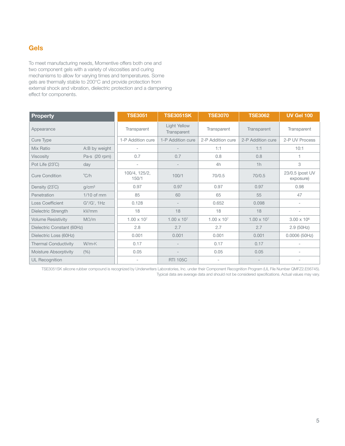## Gels

To meet manufacturing needs, Momentive offers both one and two component gels with a variety of viscosities and curing mechanisms to allow for varying times and temperatures. Some gels are thermally stable to 200°C and provide protection from external shock and vibration, dielectric protection and a dampening effect for components.

| <b>Property</b>             |                       | <b>TSE3051</b>           | <b>TSE3051SK</b>            | <b>TSE3070</b>       | <b>TSE3062</b>       | <b>UV Gel 100</b>            |
|-----------------------------|-----------------------|--------------------------|-----------------------------|----------------------|----------------------|------------------------------|
| Appearance                  |                       | Transparent              | Light Yellow<br>Transparent | Transparent          | Transparent          | Transparent                  |
| Cure Type                   |                       | 1-P Addition cure        | 1-P Addition cure           | 2-P Addition cure    | 2-P Addition cure    | 2-P UV Process               |
| Mix Ratio                   | A:B by weight         | $\sim$                   |                             | 1:1                  | 1:1                  | 10:1                         |
| <b>Viscosity</b>            | Pa $\cdot$ s (20 rpm) | 0.7                      | 0.7                         | 0.8                  | 0.8                  | 1                            |
| Pot Life (23°C)             | day                   | $\overline{\phantom{a}}$ |                             | 4h                   | 1h                   | 3                            |
| <b>Cure Condition</b>       | $\degree$ C/h         | 100/4, 125/2,<br>150/1   | 100/1                       | 70/0.5               | 70/0.5               | 23/0.5 (post UV<br>exposure) |
| Density (23°C)              | q/cm <sup>3</sup>     | 0.97                     | 0.97                        | 0.97                 | 0.97                 | 0.98                         |
| Penetration                 | $1/10$ of mm          | 85                       | 60                          | 65                   | 55                   | 47                           |
| <b>Loss Coefficient</b>     | G"/G', 1Hz            | 0.128                    |                             | 0.652                | 0.098                | $\overline{\phantom{a}}$     |
| Dielectric Strength         | kV/mm                 | 18                       | 18                          | 18                   | 18                   | ٠                            |
| <b>Volume Resistivity</b>   | $M\Omega/m$           | $1.00 \times 10^{7}$     | $1.00 \times 10^{7}$        | $1.00 \times 10^{7}$ | $1.00 \times 10^{7}$ | $3.00 \times 10^6$           |
| Dielectric Constant (60Hz)  |                       | 2.8                      | 2.7                         | 2.7                  | 2.7                  | 2.9(50Hz)                    |
| Dielectric Loss (60Hz)      |                       | 0.001                    | 0.001                       | 0.001                | 0.001                | 0.0006(50Hz)                 |
| <b>Thermal Conductivity</b> | W/mK                  | 0.17                     |                             | 0.17                 | 0.17                 |                              |
| Moisture Absorptivity       | (% )                  | 0.05                     |                             | 0.05                 | 0.05                 | $\overline{\phantom{a}}$     |
| <b>UL Recognition</b>       |                       |                          | <b>RTI 105C</b>             |                      |                      |                              |

TSE3051SK silicone rubber compound is recognized by Underwriters Laboratories, Inc. under their Component Recognition Program (UL File Number QMFZ2.E56745). Typical data are average data and should not be considered specifications. Actual values may vary.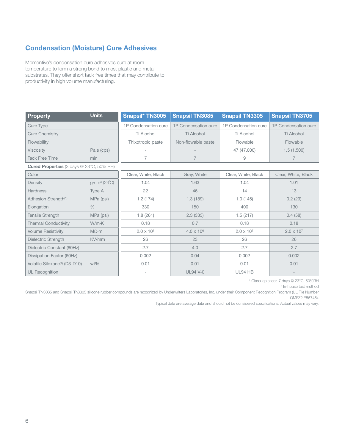## Condensation (Moisture) Cure Adhesives

Momentive's condensation cure adhesives cure at room temperature to form a strong bond to most plastic and metal substrates. They offer short tack free times that may contribute to productivity in high volume manufacturing.

| <b>Property</b>                                 | <b>Units</b>        | Snapsil* TN3005      | <b>Snapsil TN3085</b> | <b>Snapsil TN3305</b> | <b>Snapsil TN3705</b> |
|-------------------------------------------------|---------------------|----------------------|-----------------------|-----------------------|-----------------------|
| Cure Type                                       |                     | 1P Condensation cure | 1P Condensation cure  | 1P Condensation cure  | 1P Condensation cure  |
| <b>Cure Chemistry</b>                           |                     | Ti Alcohol           | Ti Alcohol            | Ti Alcohol            | Ti Alcohol            |
| Flowability                                     |                     | Thixotropic paste    | Non-flowable paste    | Flowable              | Flowable              |
| Viscosity                                       | $Pa·s$ (cps)        |                      |                       | 47 (47,000)           | 1.5(1,500)            |
| <b>Tack Free Time</b>                           | min                 | 7                    | $\overline{7}$        | 9                     | $\overline{7}$        |
| <b>Cured Properties (3 days @ 23°C, 50% RH)</b> |                     |                      |                       |                       |                       |
| Color                                           |                     | Clear, White, Black  | Gray, White           | Clear, White, Black   | Clear, White, Black   |
| Density                                         | $q/cm^3$ (23 $°C$ ) | 1.04                 | 1.63                  | 1.04                  | 1.01                  |
| <b>Hardness</b>                                 | Type A              | 22                   | 46<br>14              |                       | 13                    |
| Adhesion Strength <sup>(1)</sup><br>MPa (psi)   |                     | 1.2(174)             | 1.3(189)<br>1.0(145)  |                       | 0.2(29)               |
| Elongation<br>$\%$                              |                     | 330                  | 150<br>400            |                       | 130                   |
| Tensile Strength                                | MPa (psi)           | 1.8(261)             | 2.3(333)              | 1.5(217)              | 0.4(58)               |
| <b>Thermal Conductivity</b>                     | $W/m-K$             | 0.18                 | 0.7                   | 0.18                  | 0.18                  |
| <b>Volume Resistivity</b>                       | $M\Omega$ ·m        | $2.0 \times 10^{7}$  | $4.0 \times 10^{6}$   | $2.0 \times 10^{7}$   | $2.0 \times 10^{7}$   |
| Dielectric Strength                             | KV/mm               | 26                   | 23                    | 26                    | 26                    |
| Dielectric Constant (60Hz)                      |                     | 2.7                  | 4.0                   | 2.7                   | 2.7                   |
| Dissipation Factor (60Hz)                       |                     | 0.002                | 0.04                  | 0.002                 | 0.002                 |
| Volatile Siloxane <sup>(2)</sup> (D3-D10)       | $wt\%$              | 0.01                 | 0.01                  | 0.01                  | 0.01                  |
| <b>UL Recognition</b>                           |                     |                      | <b>UL94 V-0</b>       | UL94 HB               |                       |

1 Glass lap shear, 7 days @ 23°C, 50%RH

2 In-house test method

Snapsil TN3085 and Snapsil Tn3305 silicone rubber compounds are recognized by Underwriters Laboratories, Inc. under their Component Recognition Program (UL File Number QMFZ2.E56745).

Typical data are average data and should not be considered specifications. Actual values may vary.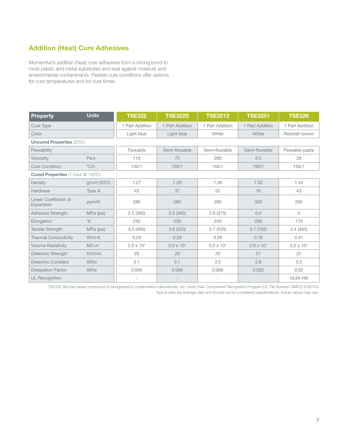### Addition (Heat) Cure Adhesives

Momentive's addition (heat) cure adhesives form a strong bond to most plastic and metal substrates and seal against moisture and environmental contaminants. Flexible cure conditions offer options for cure temperatures and for cure times.

| <b>Property</b>                          | <b>Units</b>        | <b>TSE322</b>            | <b>TSE322S</b>           | <b>TSE3212</b>      | <b>TSE3251</b>      | <b>TSE326</b>       |  |
|------------------------------------------|---------------------|--------------------------|--------------------------|---------------------|---------------------|---------------------|--|
| Cure Type                                |                     | 1 Part Addition          | 1 Part Addition          | 1 Part Addition     | 1 Part Addition     | 1 Part Addition     |  |
| Color                                    |                     | Light blue               | Light blue               | White               | White               | Reddish brown       |  |
| <b>Uncured Properties (23°C)</b>         |                     |                          |                          |                     |                     |                     |  |
| Flowability                              |                     | Flowable                 | Semi-flowable            | Semi-flowable       | Semi-flowable       | Flowable-paste      |  |
| <b>Viscosity</b>                         | Pa·s                | 110                      | 70                       | 280                 | 8.5                 | 28                  |  |
| <b>Cure Condition</b>                    | $\degree$ C/h       | 150/1                    | 150/1                    | 150/1               | 150/1               | 150/1               |  |
| <b>Cured Properties (1 hour @ 150°C)</b> |                     |                          |                          |                     |                     |                     |  |
| Density                                  | $g/cm^3$ (23 $°C$ ) | 1.27                     | 1.26                     | 1.26                | 1.02                | 1.45                |  |
| <b>Hardness</b>                          | Type A              | 45                       | 37                       | 52                  | 16                  | 43                  |  |
| Linear Coefficient of<br>Expansion       | ppm/K               | 280                      | 280                      | 280                 | 320                 | 260                 |  |
| <b>Adhesive Strength</b>                 | MPa (psi)           | 2.5(365)                 | 2.5(365)                 | 2.6(375)            | 0.4                 | $\overline{2}$      |  |
| Elongation                               | $\frac{0}{0}$       | 230                      | 230                      | 240                 | 200                 | 170                 |  |
| <b>Tensile Strength</b>                  | MPa (psi)           | 3.4(495)                 | 3.6(520)                 | 3.7(535)            | 0.7(102)            | 3.4(493)            |  |
| <b>Thermal Conductivity</b>              | $W/m-K$             | 0.29                     | 0.29                     | 0.29                | 0.18                | 0.41                |  |
| <b>Volume Resistivity</b>                | $M\Omega$ ·m        | $2.0 \times 10^{7}$      | $2.0 \times 10^{7}$      | $2.0 \times 10^{7}$ | $2.0 \times 10^{7}$ | $2.0 \times 10^{7}$ |  |
| Dielectric Strength                      | KV/mm               | 20                       | 20                       | 20                  | 21                  | 22                  |  |
| <b>Dielectric Constant</b>               | 60Hz                | 3.1                      | 3.1                      | 3.2                 | 2.8                 | 3.3                 |  |
| <b>Dissipation Factor</b>                | 60Hz                | 0.006                    | 0.006                    | 0.006               | 0.002               | 0.02                |  |
| <b>UL Recognition</b>                    |                     | $\overline{\phantom{a}}$ | $\overline{\phantom{a}}$ | ٠                   |                     | UL94 HB             |  |

TSE326 silicone rubber compound is recognized by Underwriters Laboratories, Inc. under their Component Recognition Program (UL File Number QMFZ2.E56745). Typical data are average data and should not be considered specifications. Actual values may vary.